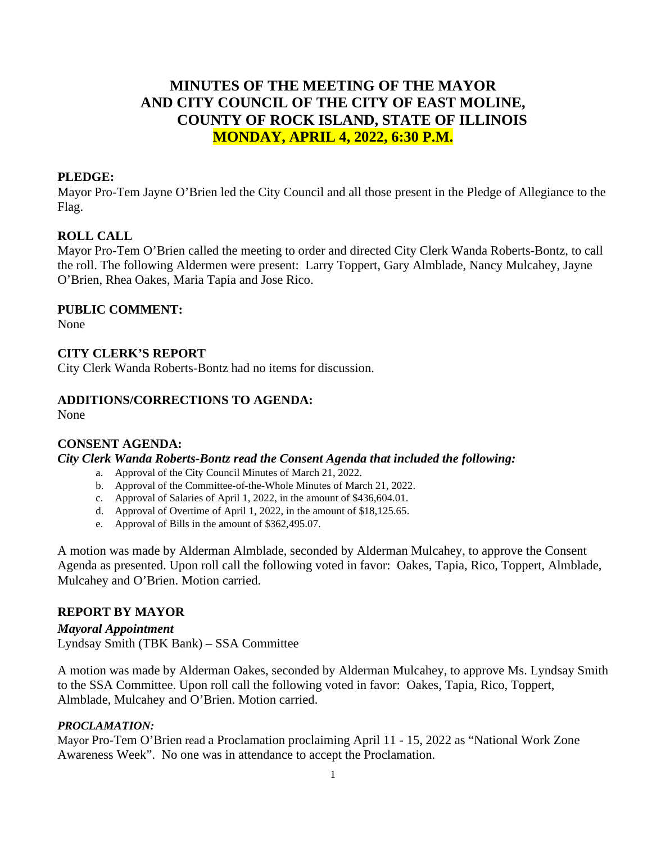# **MINUTES OF THE MEETING OF THE MAYOR AND CITY COUNCIL OF THE CITY OF EAST MOLINE, COUNTY OF ROCK ISLAND, STATE OF ILLINOIS MONDAY, APRIL 4, 2022, 6:30 P.M.**

### **PLEDGE:**

Mayor Pro-Tem Jayne O'Brien led the City Council and all those present in the Pledge of Allegiance to the Flag.

#### **ROLL CALL**

Mayor Pro-Tem O'Brien called the meeting to order and directed City Clerk Wanda Roberts-Bontz, to call the roll. The following Aldermen were present: Larry Toppert, Gary Almblade, Nancy Mulcahey, Jayne O'Brien, Rhea Oakes, Maria Tapia and Jose Rico.

#### **PUBLIC COMMENT:**

None

### **CITY CLERK'S REPORT**

City Clerk Wanda Roberts-Bontz had no items for discussion.

#### **ADDITIONS/CORRECTIONS TO AGENDA:**

None

### **CONSENT AGENDA:**

*City Clerk Wanda Roberts-Bontz read the Consent Agenda that included the following:*

- a. Approval of the City Council Minutes of March 21, 2022.
- b. Approval of the Committee-of-the-Whole Minutes of March 21, 2022.
- c. Approval of Salaries of April 1, 2022, in the amount of \$436,604.01.
- d. Approval of Overtime of April 1, 2022, in the amount of \$18,125.65.
- e. Approval of Bills in the amount of \$362,495.07.

A motion was made by Alderman Almblade, seconded by Alderman Mulcahey, to approve the Consent Agenda as presented. Upon roll call the following voted in favor: Oakes, Tapia, Rico, Toppert, Almblade, Mulcahey and O'Brien. Motion carried.

### **REPORT BY MAYOR**

*Mayoral Appointment* Lyndsay Smith (TBK Bank) – SSA Committee

A motion was made by Alderman Oakes, seconded by Alderman Mulcahey, to approve Ms. Lyndsay Smith to the SSA Committee. Upon roll call the following voted in favor: Oakes, Tapia, Rico, Toppert, Almblade, Mulcahey and O'Brien. Motion carried.

#### *PROCLAMATION:*

Mayor Pro-Tem O'Brien read a Proclamation proclaiming April 11 - 15, 2022 as "National Work Zone Awareness Week". No one was in attendance to accept the Proclamation.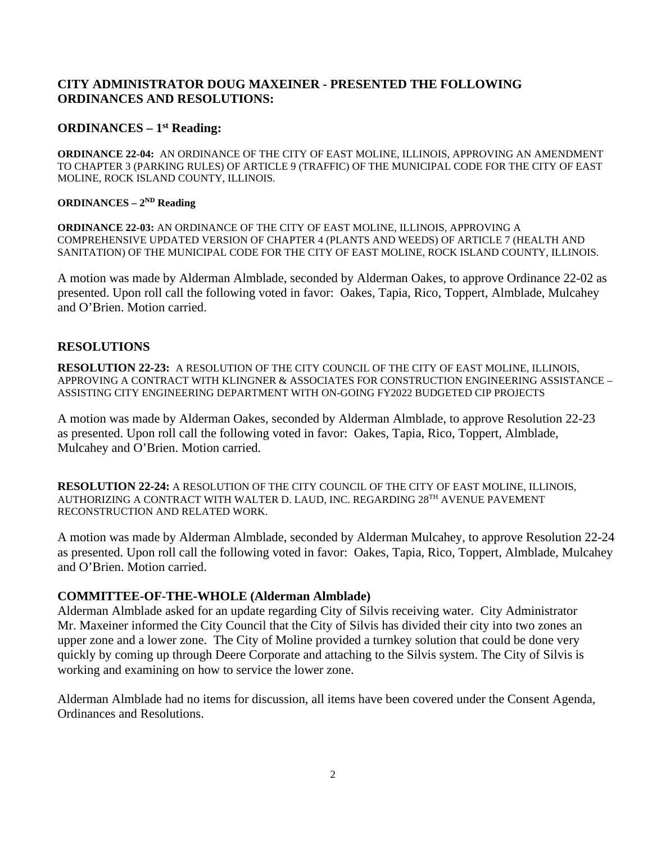### **CITY ADMINISTRATOR DOUG MAXEINER - PRESENTED THE FOLLOWING ORDINANCES AND RESOLUTIONS:**

#### **ORDINANCES – 1st Reading:**

**ORDINANCE 22-04:** AN ORDINANCE OF THE CITY OF EAST MOLINE, ILLINOIS, APPROVING AN AMENDMENT TO CHAPTER 3 (PARKING RULES) OF ARTICLE 9 (TRAFFIC) OF THE MUNICIPAL CODE FOR THE CITY OF EAST MOLINE, ROCK ISLAND COUNTY, ILLINOIS.

#### **ORDINANCES – 2ND Reading**

**ORDINANCE 22-03:** AN ORDINANCE OF THE CITY OF EAST MOLINE, ILLINOIS, APPROVING A COMPREHENSIVE UPDATED VERSION OF CHAPTER 4 (PLANTS AND WEEDS) OF ARTICLE 7 (HEALTH AND SANITATION) OF THE MUNICIPAL CODE FOR THE CITY OF EAST MOLINE, ROCK ISLAND COUNTY, ILLINOIS.

A motion was made by Alderman Almblade, seconded by Alderman Oakes, to approve Ordinance 22-02 as presented. Upon roll call the following voted in favor: Oakes, Tapia, Rico, Toppert, Almblade, Mulcahey and O'Brien. Motion carried.

#### **RESOLUTIONS**

**RESOLUTION 22-23:** A RESOLUTION OF THE CITY COUNCIL OF THE CITY OF EAST MOLINE, ILLINOIS, APPROVING A CONTRACT WITH KLINGNER & ASSOCIATES FOR CONSTRUCTION ENGINEERING ASSISTANCE – ASSISTING CITY ENGINEERING DEPARTMENT WITH ON-GOING FY2022 BUDGETED CIP PROJECTS

A motion was made by Alderman Oakes, seconded by Alderman Almblade, to approve Resolution 22-23 as presented. Upon roll call the following voted in favor: Oakes, Tapia, Rico, Toppert, Almblade, Mulcahey and O'Brien. Motion carried.

**RESOLUTION 22-24:** A RESOLUTION OF THE CITY COUNCIL OF THE CITY OF EAST MOLINE, ILLINOIS, AUTHORIZING A CONTRACT WITH WALTER D. LAUD, INC. REGARDING 28TH AVENUE PAVEMENT RECONSTRUCTION AND RELATED WORK.

A motion was made by Alderman Almblade, seconded by Alderman Mulcahey, to approve Resolution 22-24 as presented. Upon roll call the following voted in favor: Oakes, Tapia, Rico, Toppert, Almblade, Mulcahey and O'Brien. Motion carried.

### **COMMITTEE-OF-THE-WHOLE (Alderman Almblade)**

Alderman Almblade asked for an update regarding City of Silvis receiving water. City Administrator Mr. Maxeiner informed the City Council that the City of Silvis has divided their city into two zones an upper zone and a lower zone. The City of Moline provided a turnkey solution that could be done very quickly by coming up through Deere Corporate and attaching to the Silvis system. The City of Silvis is working and examining on how to service the lower zone.

Alderman Almblade had no items for discussion, all items have been covered under the Consent Agenda, Ordinances and Resolutions.